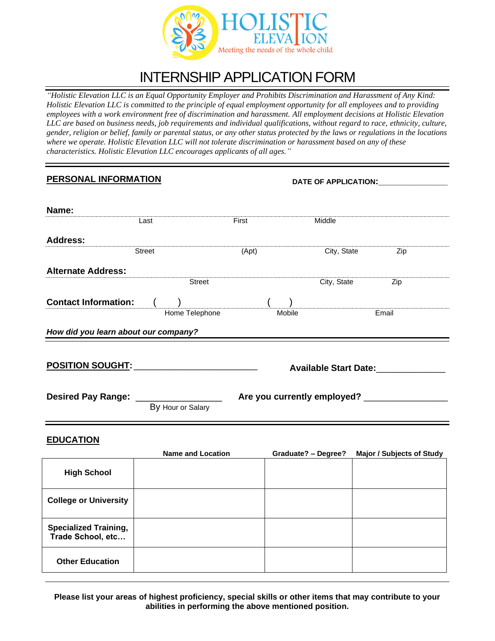

## INTERNSHIP APPLICATION FORM

*"Holistic Elevation LLC is an Equal Opportunity Employer and Prohibits Discrimination and Harassment of Any Kind: Holistic Elevation LLC is committed to the principle of equal employment opportunity for all employees and to providing employees with a work environment free of discrimination and harassment. All employment decisions at Holistic Elevation LLC are based on business needs, job requirements and individual qualifications, without regard to race, ethnicity, culture, gender, religion or belief, family or parental status, or any other status protected by the laws or regulations in the locations where we operate. Holistic Elevation LLC will not tolerate discrimination or harassment based on any of these characteristics. Holistic Elevation LLC encourages applicants of all ages."*

## **PERSONAL INFORMATION DATE OF APPLICATION:**

| Name:                                                |        |                          |       |        |                            |                                                    |
|------------------------------------------------------|--------|--------------------------|-------|--------|----------------------------|----------------------------------------------------|
|                                                      | Last   |                          | First |        | Middle                     |                                                    |
| <b>Address:</b>                                      |        |                          |       |        |                            |                                                    |
|                                                      | Street |                          | (Apt) |        | City, State                | Zip                                                |
| <b>Alternate Address:</b>                            |        |                          |       |        |                            |                                                    |
|                                                      |        | <b>Street</b>            |       |        | City, State                | Zip                                                |
| <b>Contact Information:</b>                          |        | Home Telephone           |       | Mobile |                            | Email                                              |
| How did you learn about our company?                 |        |                          |       |        |                            |                                                    |
|                                                      |        |                          |       |        |                            |                                                    |
| <u>POSITION SOUGHT: ____________________________</u> |        |                          |       |        |                            | <b>Available Start Date:</b> Available Start Date: |
|                                                      |        |                          |       |        |                            |                                                    |
| Desired Pay Range: _                                 |        | By Hour or Salary        |       |        |                            |                                                    |
|                                                      |        |                          |       |        |                            |                                                    |
| <b>EDUCATION</b>                                     |        |                          |       |        |                            |                                                    |
|                                                      |        | <b>Name and Location</b> |       |        | <b>Graduate? - Degree?</b> | <b>Major / Subjects of Study</b>                   |
| <b>High School</b>                                   |        |                          |       |        |                            |                                                    |
| <b>College or University</b>                         |        |                          |       |        |                            |                                                    |
| <b>Specialized Training,</b><br>Trade School, etc    |        |                          |       |        |                            |                                                    |
| <b>Other Education</b>                               |        |                          |       |        |                            |                                                    |

**Please list your areas of highest proficiency, special skills or other items that may contribute to your abilities in performing the above mentioned position.**